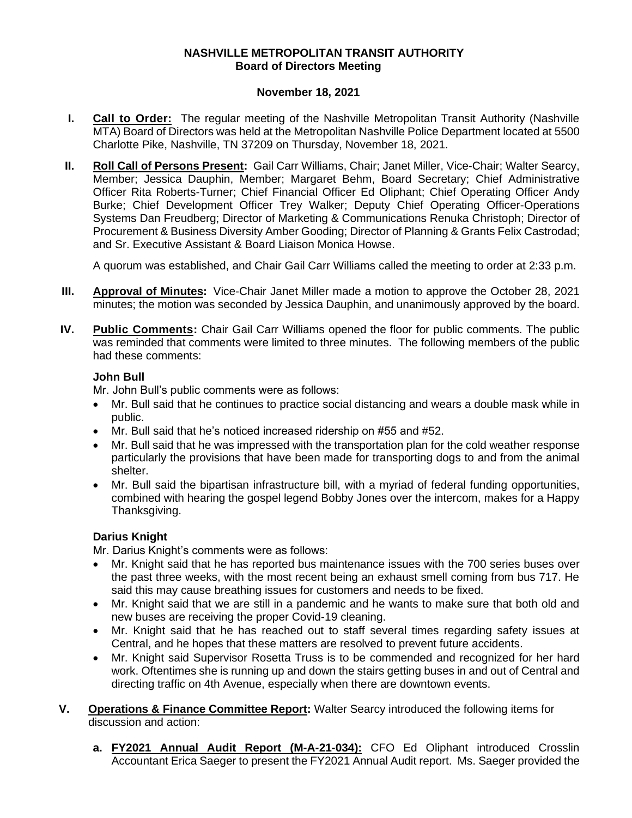## **NASHVILLE METROPOLITAN TRANSIT AUTHORITY Board of Directors Meeting**

## **November 18, 2021**

- **I. Call to Order:** The regular meeting of the Nashville Metropolitan Transit Authority (Nashville MTA) Board of Directors was held at the Metropolitan Nashville Police Department located at 5500 Charlotte Pike, Nashville, TN 37209 on Thursday, November 18, 2021.
- **II. Roll Call of Persons Present:** Gail Carr Williams, Chair; Janet Miller, Vice-Chair; Walter Searcy, Member; Jessica Dauphin, Member; Margaret Behm, Board Secretary; Chief Administrative Officer Rita Roberts-Turner; Chief Financial Officer Ed Oliphant; Chief Operating Officer Andy Burke; Chief Development Officer Trey Walker; Deputy Chief Operating Officer-Operations Systems Dan Freudberg; Director of Marketing & Communications Renuka Christoph; Director of Procurement & Business Diversity Amber Gooding; Director of Planning & Grants Felix Castrodad; and Sr. Executive Assistant & Board Liaison Monica Howse.

A quorum was established, and Chair Gail Carr Williams called the meeting to order at 2:33 p.m.

- **III. Approval of Minutes:** Vice-Chair Janet Miller made a motion to approve the October 28, 2021 minutes; the motion was seconded by Jessica Dauphin, and unanimously approved by the board.
- **IV. Public Comments:** Chair Gail Carr Williams opened the floor for public comments. The public was reminded that comments were limited to three minutes. The following members of the public had these comments:

## **John Bull**

Mr. John Bull's public comments were as follows:

- Mr. Bull said that he continues to practice social distancing and wears a double mask while in public.
- Mr. Bull said that he's noticed increased ridership on #55 and #52.
- Mr. Bull said that he was impressed with the transportation plan for the cold weather response particularly the provisions that have been made for transporting dogs to and from the animal shelter.
- Mr. Bull said the bipartisan infrastructure bill, with a myriad of federal funding opportunities, combined with hearing the gospel legend Bobby Jones over the intercom, makes for a Happy Thanksgiving.

## **Darius Knight**

Mr. Darius Knight's comments were as follows:

- Mr. Knight said that he has reported bus maintenance issues with the 700 series buses over the past three weeks, with the most recent being an exhaust smell coming from bus 717. He said this may cause breathing issues for customers and needs to be fixed.
- Mr. Knight said that we are still in a pandemic and he wants to make sure that both old and new buses are receiving the proper Covid-19 cleaning.
- Mr. Knight said that he has reached out to staff several times regarding safety issues at Central, and he hopes that these matters are resolved to prevent future accidents.
- Mr. Knight said Supervisor Rosetta Truss is to be commended and recognized for her hard work. Oftentimes she is running up and down the stairs getting buses in and out of Central and directing traffic on 4th Avenue, especially when there are downtown events.
- **V. Operations & Finance Committee Report:** Walter Searcy introduced the following items for discussion and action:
	- **a. FY2021 Annual Audit Report (M-A-21-034):** CFO Ed Oliphant introduced Crosslin Accountant Erica Saeger to present the FY2021 Annual Audit report. Ms. Saeger provided the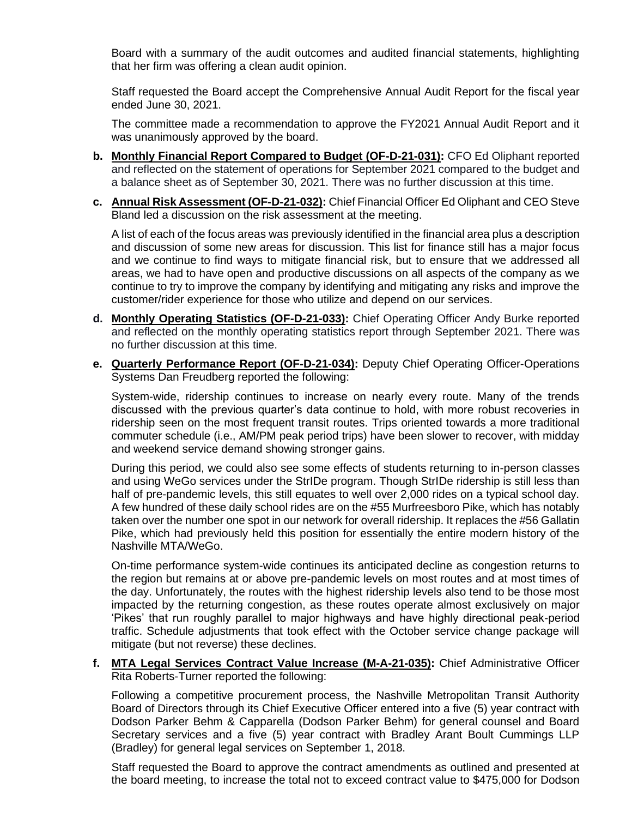Board with a summary of the audit outcomes and audited financial statements, highlighting that her firm was offering a clean audit opinion.

Staff requested the Board accept the Comprehensive Annual Audit Report for the fiscal year ended June 30, 2021.

The committee made a recommendation to approve the FY2021 Annual Audit Report and it was unanimously approved by the board.

- **b. Monthly Financial Report Compared to Budget (OF-D-21-031):** CFO Ed Oliphant reported and reflected on the statement of operations for September 2021 compared to the budget and a balance sheet as of September 30, 2021. There was no further discussion at this time.
- **c. Annual Risk Assessment (OF-D-21-032):** Chief Financial Officer Ed Oliphant and CEO Steve Bland led a discussion on the risk assessment at the meeting.

A list of each of the focus areas was previously identified in the financial area plus a description and discussion of some new areas for discussion. This list for finance still has a major focus and we continue to find ways to mitigate financial risk, but to ensure that we addressed all areas, we had to have open and productive discussions on all aspects of the company as we continue to try to improve the company by identifying and mitigating any risks and improve the customer/rider experience for those who utilize and depend on our services.

- **d. Monthly Operating Statistics (OF-D-21-033):** Chief Operating Officer Andy Burke reported and reflected on the monthly operating statistics report through September 2021. There was no further discussion at this time.
- **e. Quarterly Performance Report (OF-D-21-034):** Deputy Chief Operating Officer-Operations Systems Dan Freudberg reported the following:

System-wide, ridership continues to increase on nearly every route. Many of the trends discussed with the previous quarter's data continue to hold, with more robust recoveries in ridership seen on the most frequent transit routes. Trips oriented towards a more traditional commuter schedule (i.e., AM/PM peak period trips) have been slower to recover, with midday and weekend service demand showing stronger gains.

During this period, we could also see some effects of students returning to in-person classes and using WeGo services under the StrIDe program. Though StrIDe ridership is still less than half of pre-pandemic levels, this still equates to well over 2,000 rides on a typical school day. A few hundred of these daily school rides are on the #55 Murfreesboro Pike, which has notably taken over the number one spot in our network for overall ridership. It replaces the #56 Gallatin Pike, which had previously held this position for essentially the entire modern history of the Nashville MTA/WeGo.

On-time performance system-wide continues its anticipated decline as congestion returns to the region but remains at or above pre-pandemic levels on most routes and at most times of the day. Unfortunately, the routes with the highest ridership levels also tend to be those most impacted by the returning congestion, as these routes operate almost exclusively on major 'Pikes' that run roughly parallel to major highways and have highly directional peak-period traffic. Schedule adjustments that took effect with the October service change package will mitigate (but not reverse) these declines.

**f. MTA Legal Services Contract Value Increase (M-A-21-035):** Chief Administrative Officer Rita Roberts-Turner reported the following:

Following a competitive procurement process, the Nashville Metropolitan Transit Authority Board of Directors through its Chief Executive Officer entered into a five (5) year contract with Dodson Parker Behm & Capparella (Dodson Parker Behm) for general counsel and Board Secretary services and a five (5) year contract with Bradley Arant Boult Cummings LLP (Bradley) for general legal services on September 1, 2018.

Staff requested the Board to approve the contract amendments as outlined and presented at the board meeting, to increase the total not to exceed contract value to \$475,000 for Dodson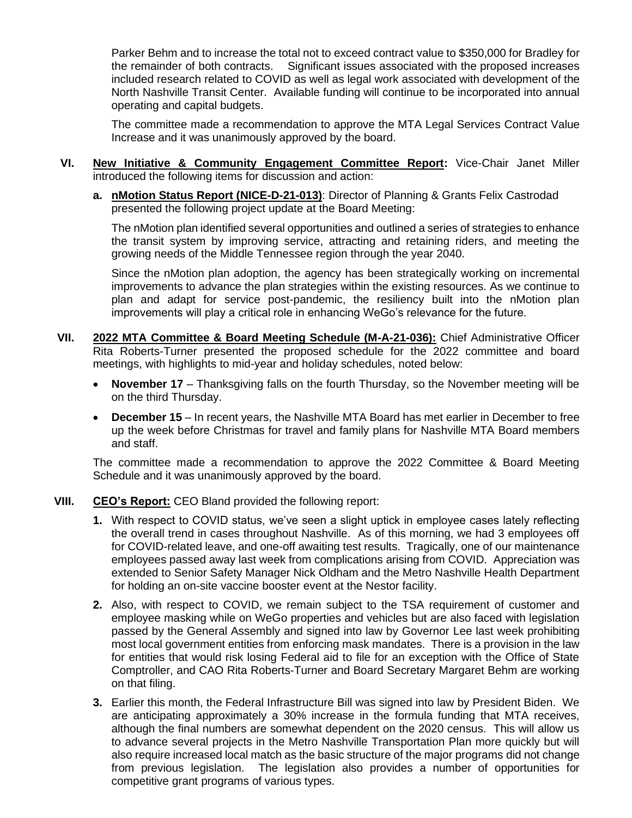Parker Behm and to increase the total not to exceed contract value to \$350,000 for Bradley for the remainder of both contracts. Significant issues associated with the proposed increases included research related to COVID as well as legal work associated with development of the North Nashville Transit Center. Available funding will continue to be incorporated into annual operating and capital budgets.

The committee made a recommendation to approve the MTA Legal Services Contract Value Increase and it was unanimously approved by the board.

- **VI. New Initiative & Community Engagement Committee Report:** Vice-Chair Janet Miller introduced the following items for discussion and action:
	- **a. nMotion Status Report (NICE-D-21-013)**: Director of Planning & Grants Felix Castrodad presented the following project update at the Board Meeting:

The nMotion plan identified several opportunities and outlined a series of strategies to enhance the transit system by improving service, attracting and retaining riders, and meeting the growing needs of the Middle Tennessee region through the year 2040.

Since the nMotion plan adoption, the agency has been strategically working on incremental improvements to advance the plan strategies within the existing resources. As we continue to plan and adapt for service post-pandemic, the resiliency built into the nMotion plan improvements will play a critical role in enhancing WeGo's relevance for the future.

- **VII. 2022 MTA Committee & Board Meeting Schedule (M-A-21-036):** Chief Administrative Officer Rita Roberts-Turner presented the proposed schedule for the 2022 committee and board meetings, with highlights to mid-year and holiday schedules, noted below:
	- **November 17** Thanksgiving falls on the fourth Thursday, so the November meeting will be on the third Thursday.
	- **December 15** In recent years, the Nashville MTA Board has met earlier in December to free up the week before Christmas for travel and family plans for Nashville MTA Board members and staff.

The committee made a recommendation to approve the 2022 Committee & Board Meeting Schedule and it was unanimously approved by the board.

- **VIII. CEO's Report:** CEO Bland provided the following report:
	- **1.** With respect to COVID status, we've seen a slight uptick in employee cases lately reflecting the overall trend in cases throughout Nashville. As of this morning, we had 3 employees off for COVID-related leave, and one-off awaiting test results. Tragically, one of our maintenance employees passed away last week from complications arising from COVID. Appreciation was extended to Senior Safety Manager Nick Oldham and the Metro Nashville Health Department for holding an on-site vaccine booster event at the Nestor facility.
	- **2.** Also, with respect to COVID, we remain subject to the TSA requirement of customer and employee masking while on WeGo properties and vehicles but are also faced with legislation passed by the General Assembly and signed into law by Governor Lee last week prohibiting most local government entities from enforcing mask mandates. There is a provision in the law for entities that would risk losing Federal aid to file for an exception with the Office of State Comptroller, and CAO Rita Roberts-Turner and Board Secretary Margaret Behm are working on that filing.
	- **3.** Earlier this month, the Federal Infrastructure Bill was signed into law by President Biden. We are anticipating approximately a 30% increase in the formula funding that MTA receives, although the final numbers are somewhat dependent on the 2020 census. This will allow us to advance several projects in the Metro Nashville Transportation Plan more quickly but will also require increased local match as the basic structure of the major programs did not change from previous legislation. The legislation also provides a number of opportunities for competitive grant programs of various types.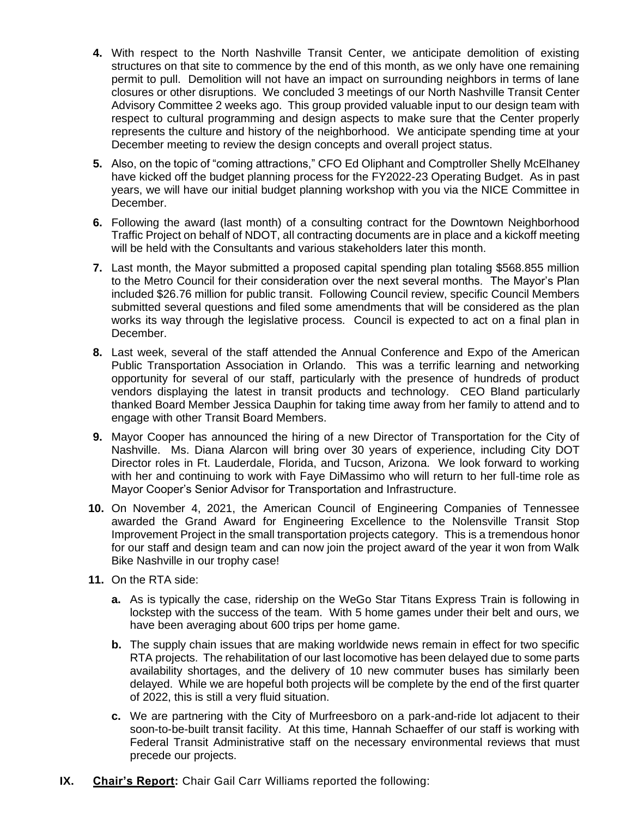- **4.** With respect to the North Nashville Transit Center, we anticipate demolition of existing structures on that site to commence by the end of this month, as we only have one remaining permit to pull. Demolition will not have an impact on surrounding neighbors in terms of lane closures or other disruptions. We concluded 3 meetings of our North Nashville Transit Center Advisory Committee 2 weeks ago. This group provided valuable input to our design team with respect to cultural programming and design aspects to make sure that the Center properly represents the culture and history of the neighborhood. We anticipate spending time at your December meeting to review the design concepts and overall project status.
- **5.** Also, on the topic of "coming attractions," CFO Ed Oliphant and Comptroller Shelly McElhaney have kicked off the budget planning process for the FY2022-23 Operating Budget. As in past years, we will have our initial budget planning workshop with you via the NICE Committee in December.
- **6.** Following the award (last month) of a consulting contract for the Downtown Neighborhood Traffic Project on behalf of NDOT, all contracting documents are in place and a kickoff meeting will be held with the Consultants and various stakeholders later this month.
- **7.** Last month, the Mayor submitted a proposed capital spending plan totaling \$568.855 million to the Metro Council for their consideration over the next several months. The Mayor's Plan included \$26.76 million for public transit. Following Council review, specific Council Members submitted several questions and filed some amendments that will be considered as the plan works its way through the legislative process. Council is expected to act on a final plan in December.
- **8.** Last week, several of the staff attended the Annual Conference and Expo of the American Public Transportation Association in Orlando. This was a terrific learning and networking opportunity for several of our staff, particularly with the presence of hundreds of product vendors displaying the latest in transit products and technology. CEO Bland particularly thanked Board Member Jessica Dauphin for taking time away from her family to attend and to engage with other Transit Board Members.
- **9.** Mayor Cooper has announced the hiring of a new Director of Transportation for the City of Nashville. Ms. Diana Alarcon will bring over 30 years of experience, including City DOT Director roles in Ft. Lauderdale, Florida, and Tucson, Arizona. We look forward to working with her and continuing to work with Faye DiMassimo who will return to her full-time role as Mayor Cooper's Senior Advisor for Transportation and Infrastructure.
- **10.** On November 4, 2021, the American Council of Engineering Companies of Tennessee awarded the Grand Award for Engineering Excellence to the Nolensville Transit Stop Improvement Project in the small transportation projects category. This is a tremendous honor for our staff and design team and can now join the project award of the year it won from Walk Bike Nashville in our trophy case!
- **11.** On the RTA side:
	- **a.** As is typically the case, ridership on the WeGo Star Titans Express Train is following in lockstep with the success of the team. With 5 home games under their belt and ours, we have been averaging about 600 trips per home game.
	- **b.** The supply chain issues that are making worldwide news remain in effect for two specific RTA projects. The rehabilitation of our last locomotive has been delayed due to some parts availability shortages, and the delivery of 10 new commuter buses has similarly been delayed. While we are hopeful both projects will be complete by the end of the first quarter of 2022, this is still a very fluid situation.
	- **c.** We are partnering with the City of Murfreesboro on a park-and-ride lot adjacent to their soon-to-be-built transit facility. At this time, Hannah Schaeffer of our staff is working with Federal Transit Administrative staff on the necessary environmental reviews that must precede our projects.
- **IX. Chair's Report:** Chair Gail Carr Williams reported the following: